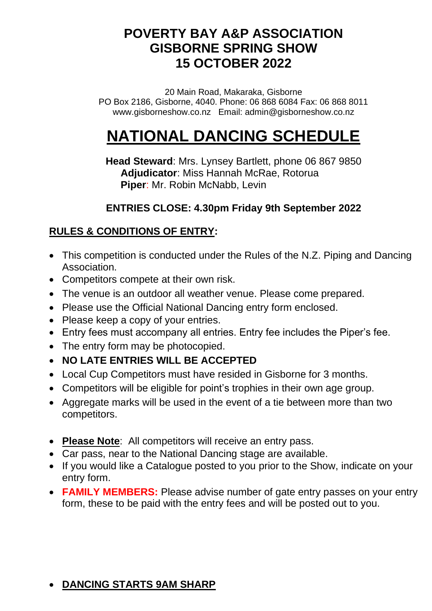# **POVERTY BAY A&P ASSOCIATION GISBORNE SPRING SHOW 15 OCTOBER 2022**

20 Main Road, Makaraka, Gisborne PO Box 2186, Gisborne, 4040. Phone: 06 868 6084 Fax: 06 868 8011 www.gisborneshow.co.nz Email: admin@gisborneshow.co.nz

# **NATIONAL DANCING SCHEDULE**

**Head Steward**: Mrs. Lynsey Bartlett, phone 06 867 9850  **Adjudicator**: Miss Hannah McRae, Rotorua  **Piper**: Mr. Robin McNabb, Levin

### **ENTRIES CLOSE: 4.30pm Friday 9th September 2022**

# **RULES & CONDITIONS OF ENTRY:**

- This competition is conducted under the Rules of the N.Z. Piping and Dancing Association.
- Competitors compete at their own risk.
- The venue is an outdoor all weather venue. Please come prepared.
- Please use the Official National Dancing entry form enclosed.
- Please keep a copy of your entries.
- Entry fees must accompany all entries. Entry fee includes the Piper's fee.
- The entry form may be photocopied.
- **NO LATE ENTRIES WILL BE ACCEPTED**
- Local Cup Competitors must have resided in Gisborne for 3 months.
- Competitors will be eligible for point's trophies in their own age group.
- Aggregate marks will be used in the event of a tie between more than two competitors.
- **Please Note**: All competitors will receive an entry pass.
- Car pass, near to the National Dancing stage are available.
- If you would like a Catalogue posted to you prior to the Show, indicate on your entry form.
- **FAMILY MEMBERS:** Please advise number of gate entry passes on your entry form, these to be paid with the entry fees and will be posted out to you.

# • **DANCING STARTS 9AM SHARP**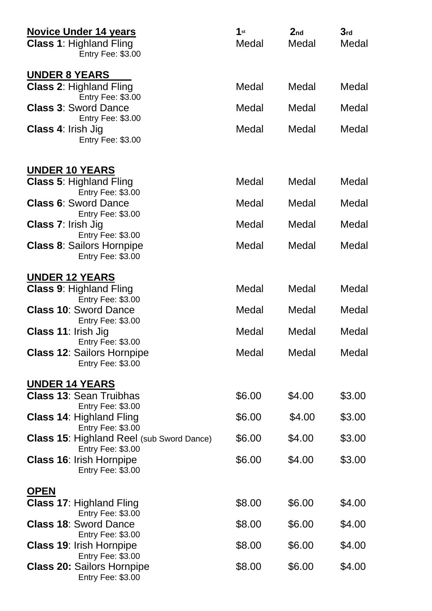| <b>Novice Under 14 years</b><br><b>Class 1: Highland Fling</b><br><b>Entry Fee: \$3.00</b>                                                                                                      | 1st<br>Medal | 2 <sub>nd</sub><br>Medal | 3 <sub>rd</sub><br>Medal |
|-------------------------------------------------------------------------------------------------------------------------------------------------------------------------------------------------|--------------|--------------------------|--------------------------|
| <b>UNDER 8 YEARS</b><br><b>Class 2: Highland Fling</b><br>Entry Fee: \$3.00<br><b>Class 3: Sword Dance</b><br><b>Entry Fee: \$3.00</b><br><b>Class 4: Irish Jig</b><br><b>Entry Fee: \$3.00</b> | Medal        | Medal                    | Medal                    |
|                                                                                                                                                                                                 | Medal        | Medal                    | Medal                    |
|                                                                                                                                                                                                 | Medal        | Medal                    | Medal                    |
| <b>UNDER 10 YEARS</b><br><b>Class 5: Highland Fling</b>                                                                                                                                         | Medal        | Medal                    | Medal                    |
| Entry Fee: \$3.00                                                                                                                                                                               | Medal        | Medal                    | Medal                    |
| <b>Class 6: Sword Dance</b><br><b>Entry Fee: \$3.00</b>                                                                                                                                         |              |                          |                          |
| <b>Class 7: Irish Jig</b><br><b>Entry Fee: \$3.00</b>                                                                                                                                           | Medal        | Medal                    | Medal                    |
| <b>Class 8: Sailors Hornpipe</b><br>Entry Fee: \$3.00                                                                                                                                           | Medal        | Medal                    | Medal                    |
| <u>UNDER 12 YEARS</u>                                                                                                                                                                           |              |                          |                          |
| <b>Class 9: Highland Fling</b><br><b>Entry Fee: \$3.00</b>                                                                                                                                      | Medal        | Medal                    | Medal                    |
| <b>Class 10: Sword Dance</b>                                                                                                                                                                    | Medal        | Medal                    | Medal                    |
| Entry Fee: \$3.00<br><b>Class 11: Irish Jig</b>                                                                                                                                                 | Medal        | Medal                    | Medal                    |
| Entry Fee: \$3.00<br><b>Class 12: Sailors Hornpipe</b><br>Entry Fee: \$3.00                                                                                                                     | Medal        | Medal                    | Medal                    |
| <b>UNDER 14 YEARS</b>                                                                                                                                                                           |              |                          |                          |
| <b>Class 13: Sean Truibhas</b><br><b>Entry Fee: \$3.00</b>                                                                                                                                      | \$6.00       | \$4.00                   | \$3.00                   |
| <b>Class 14: Highland Fling</b><br>Entry Fee: \$3.00                                                                                                                                            | \$6.00       | \$4.00                   | \$3.00                   |
| <b>Class 15: Highland Reel (sub Sword Dance)</b>                                                                                                                                                | \$6.00       | \$4.00                   | \$3.00                   |
| <b>Entry Fee: \$3.00</b><br><b>Class 16: Irish Hornpipe</b><br>Entry Fee: \$3.00                                                                                                                | \$6.00       | \$4.00                   | \$3.00                   |
| <u>OPEN</u>                                                                                                                                                                                     |              |                          |                          |
| <b>Class 17: Highland Fling</b><br><b>Entry Fee: \$3.00</b>                                                                                                                                     | \$8.00       | \$6.00                   | \$4.00                   |
| <b>Class 18: Sword Dance</b>                                                                                                                                                                    | \$8.00       | \$6.00                   | \$4.00                   |
| <b>Entry Fee: \$3.00</b><br><b>Class 19: Irish Hornpipe</b>                                                                                                                                     | \$8.00       | \$6.00                   | \$4.00                   |
| <b>Entry Fee: \$3.00</b><br><b>Class 20: Sailors Hornpipe</b><br>Entry Fee: \$3.00                                                                                                              | \$8.00       | \$6.00                   | \$4.00                   |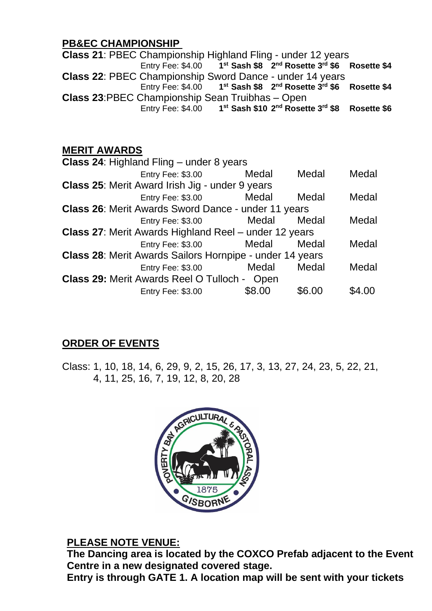#### **PB&EC CHAMPIONSHIP**

**Class 21**: PBEC Championship Highland Fling - under 12 years Entry Fee: \$4.00 **1 st Sash \$8 2 nd Rosette 3 rd \$6 Rosette \$4 Class 22**: PBEC Championship Sword Dance - under 14 years Entry Fee: \$4.00 **1 st Sash \$8 2 nd Rosette 3rd \$6 Rosette \$4 Class 23**:PBEC Championship Sean Truibhas – Open Entry Fee: \$4.00 **1 st Sash \$10 2 nd Rosette 3rd \$8 Rosette \$6**

#### **MERIT AWARDS**

|                                                              | <b>Class 24: Highland Fling – under 8 years</b>     |        |        |        |  |
|--------------------------------------------------------------|-----------------------------------------------------|--------|--------|--------|--|
|                                                              | <b>Entry Fee: \$3.00</b>                            | Medal  | Medal  | Medal  |  |
| <b>Class 25: Merit Award Irish Jig - under 9 years</b>       |                                                     |        |        |        |  |
|                                                              | Entry Fee: \$3.00                                   | Medal  | Medal  | Medal  |  |
|                                                              | Class 26: Merit Awards Sword Dance - under 11 years |        |        |        |  |
|                                                              | <b>Entry Fee: \$3.00</b>                            | Medal  | Medal  | Medal  |  |
| <b>Class 27: Merit Awards Highland Reel - under 12 years</b> |                                                     |        |        |        |  |
|                                                              | <b>Entry Fee: \$3.00</b>                            | Medal  | Medal  | Medal  |  |
| Class 28: Merit Awards Sailors Hornpipe - under 14 years     |                                                     |        |        |        |  |
|                                                              | Entry Fee: \$3.00                                   | Medal  | Medal  | Medal  |  |
| <b>Class 29: Merit Awards Reel O Tulloch - Open</b>          |                                                     |        |        |        |  |
|                                                              | <b>Entry Fee: \$3.00</b>                            | \$8.00 | \$6.00 | \$4.00 |  |
|                                                              |                                                     |        |        |        |  |

# **ORDER OF EVENTS**

Class: 1, 10, 18, 14, 6, 29, 9, 2, 15, 26, 17, 3, 13, 27, 24, 23, 5, 22, 21, 4, 11, 25, 16, 7, 19, 12, 8, 20, 28



#### **PLEASE NOTE VENUE:**

**The Dancing area is located by the COXCO Prefab adjacent to the Event Centre in a new designated covered stage.**

**Entry is through GATE 1. A location map will be sent with your tickets**